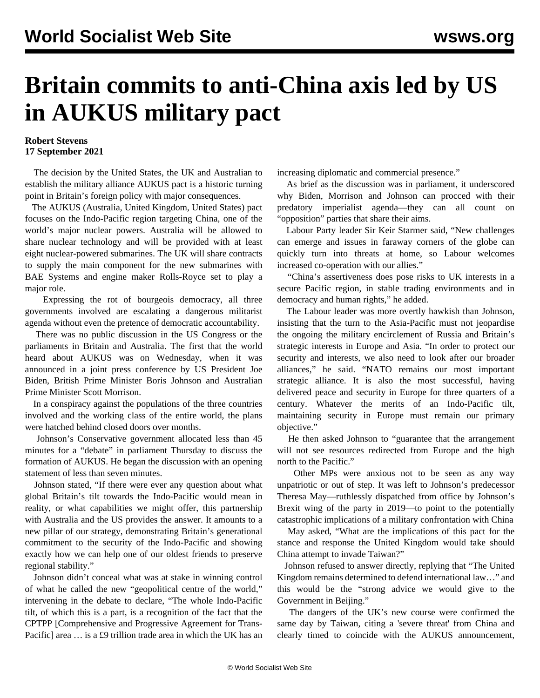## **Britain commits to anti-China axis led by US in AUKUS military pact**

## **Robert Stevens 17 September 2021**

 The decision by the United States, the UK and Australian to establish the military alliance AUKUS pact is a historic turning point in Britain's foreign policy with major consequences.

 The AUKUS (Australia, United Kingdom, United States) pact focuses on the Indo-Pacific region targeting China, one of the world's major nuclear powers. Australia will be allowed to share nuclear technology and will be provided with at least eight nuclear-powered submarines. The UK will share contracts to supply the main component for the new submarines with BAE Systems and engine maker Rolls-Royce set to play a major role.

 Expressing the rot of bourgeois democracy, all three governments involved are escalating a dangerous militarist agenda without even the pretence of democratic accountability.

 There was no public discussion in the US Congress or the parliaments in Britain and Australia. The first that the world heard about AUKUS was on Wednesday, when it was announced in a joint press conference by US President Joe Biden, British Prime Minister Boris Johnson and Australian Prime Minister Scott Morrison.

 In a conspiracy against the populations of the three countries involved and the working class of the entire world, the plans were hatched behind closed doors over months.

 Johnson's Conservative government allocated less than 45 minutes for a "debate" in parliament Thursday to discuss the formation of AUKUS. He began the discussion with an opening statement of less than seven minutes.

 Johnson stated, "If there were ever any question about what global Britain's tilt towards the Indo-Pacific would mean in reality, or what capabilities we might offer, this partnership with Australia and the US provides the answer. It amounts to a new pillar of our strategy, demonstrating Britain's generational commitment to the security of the Indo-Pacific and showing exactly how we can help one of our oldest friends to preserve regional stability."

 Johnson didn't conceal what was at stake in winning control of what he called the new "geopolitical centre of the world," intervening in the debate to declare, "The whole Indo-Pacific tilt, of which this is a part, is a recognition of the fact that the CPTPP [Comprehensive and Progressive Agreement for Trans-Pacific] area ... is a £9 trillion trade area in which the UK has an increasing diplomatic and commercial presence."

 As brief as the discussion was in parliament, it underscored why Biden, Morrison and Johnson can procced with their predatory imperialist agenda—they can all count on "opposition" parties that share their aims.

 Labour Party leader Sir Keir Starmer said, "New challenges can emerge and issues in faraway corners of the globe can quickly turn into threats at home, so Labour welcomes increased co-operation with our allies."

 "China's assertiveness does pose risks to UK interests in a secure Pacific region, in stable trading environments and in democracy and human rights," he added.

 The Labour leader was more overtly hawkish than Johnson, insisting that the turn to the Asia-Pacific must not jeopardise the ongoing the military encirclement of Russia and Britain's strategic interests in Europe and Asia. "In order to protect our security and interests, we also need to look after our broader alliances," he said. "NATO remains our most important strategic alliance. It is also the most successful, having delivered peace and security in Europe for three quarters of a century. Whatever the merits of an Indo-Pacific tilt, maintaining security in Europe must remain our primary objective."

 He then asked Johnson to "guarantee that the arrangement will not see resources redirected from Europe and the high north to the Pacific."

 Other MPs were anxious not to be seen as any way unpatriotic or out of step. It was left to Johnson's predecessor Theresa May—ruthlessly dispatched from office by Johnson's Brexit wing of the party in 2019—to point to the potentially catastrophic implications of a military confrontation with China

 May asked, "What are the implications of this pact for the stance and response the United Kingdom would take should China attempt to invade Taiwan?"

 Johnson refused to answer directly, replying that "The United Kingdom remains determined to defend international law…" and this would be the "strong advice we would give to the Government in Beijing."

 The dangers of the UK's new course were confirmed the same day by Taiwan, citing a 'severe threat' from China and clearly timed to coincide with the AUKUS announcement,